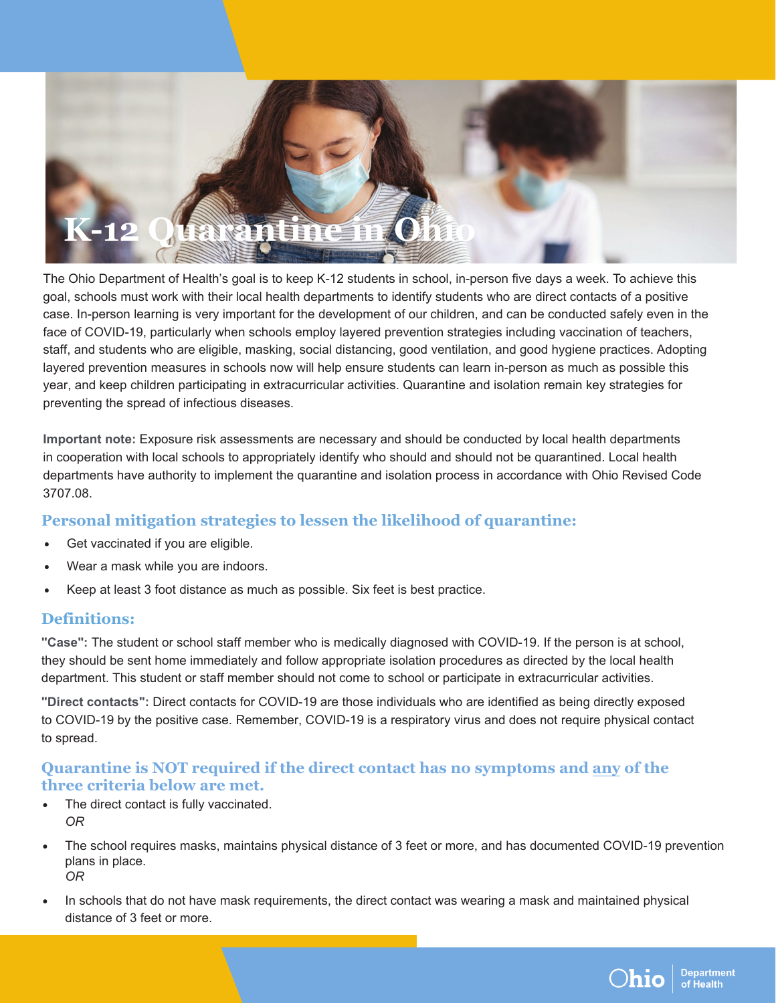

The Ohio Department of Health's goal is to keep K-12 students in school, in-person five days a week. To achieve this goal, schools must work with their local health departments to identify students who are direct contacts of a positive case. In-person learning is very important for the development of our children, and can be conducted safely even in the face of COVID-19, particularly when schools employ layered prevention strategies including vaccination of teachers, staff, and students who are eligible, masking, social distancing, good ventilation, and good hygiene practices. Adopting layered prevention measures in schools now will help ensure students can learn in-person as much as possible this year, and keep children participating in extracurricular activities. Quarantine and isolation remain key strategies for preventing the spread of infectious diseases.

**Important note:** Exposure risk assessments are necessary and should be conducted by local health departments in cooperation with local schools to appropriately identify who should and should not be quarantined. Local health departments have authority to implement the quarantine and isolation process in accordance with Ohio Revised Code 3707.08.

# **Personal mitigation strategies to lessen the likelihood of quarantine:**

- Get vaccinated if you are eligible.
- Wear a mask while you are indoors.
- Keep at least 3 foot distance as much as possible. Six feet is best practice.

## **Definitions:**

**"Case":** The student or school staff member who is medically diagnosed with COVID-19. If the person is at school, they should be sent home immediately and follow appropriate isolation procedures as directed by the local health department. This student or staff member should not come to school or participate in extracurricular activities.

**"Direct contacts":** Direct contacts for COVID-19 are those individuals who are identified as being directly exposed to COVID-19 by the positive case. Remember, COVID-19 is a respiratory virus and does not require physical contact to spread.

## **Quarantine is NOT required if the direct contact has no symptoms and any of the three criteria below are met.**

- The direct contact is fully vaccinated. *OR*
- The school requires masks, maintains physical distance of 3 feet or more, and has documented COVID-19 prevention plans in place. *OR*
- In schools that do not have mask requirements, the direct contact was wearing a mask and maintained physical distance of 3 feet or more.